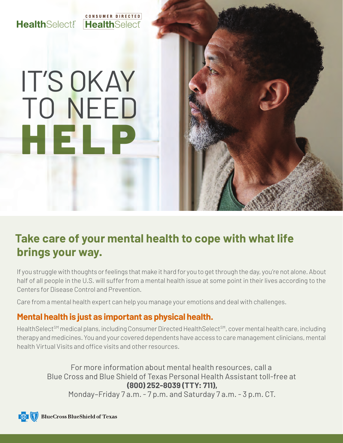#### CONSUMER DIRECTED **HealthSelect! Health**Select

# IT'S OKAY TO NEED HELP

## **Take care of your mental health to cope with what life brings your way.**

If you struggle with thoughts or feelings that make it hard for you to get through the day, you're not alone. About half of all people in the U.S. will suffer from a mental health issue at some point in their lives according to the Centers for Disease Control and Prevention.

Care from a mental health expert can help you manage your emotions and deal with challenges.

#### **Mental health is just as important as physical health.**

HealthSelect<sup>SM</sup> medical plans, including Consumer Directed HealthSelect<sup>SM</sup>, cover mental health care, including therapy and medicines. You and your covered dependents have access to care management clinicians, mental health Virtual Visits and office visits and other resources.

For more information about mental health resources, call a Blue Cross and Blue Shield of Texas Personal Health Assistant toll-free at **(800) 252-8039 (TTY: 711),** Monday–Friday 7 a.m. - 7 p.m. and Saturday 7 a.m. - 3 p.m. CT.

**BlueCross BlueShield of Texas**